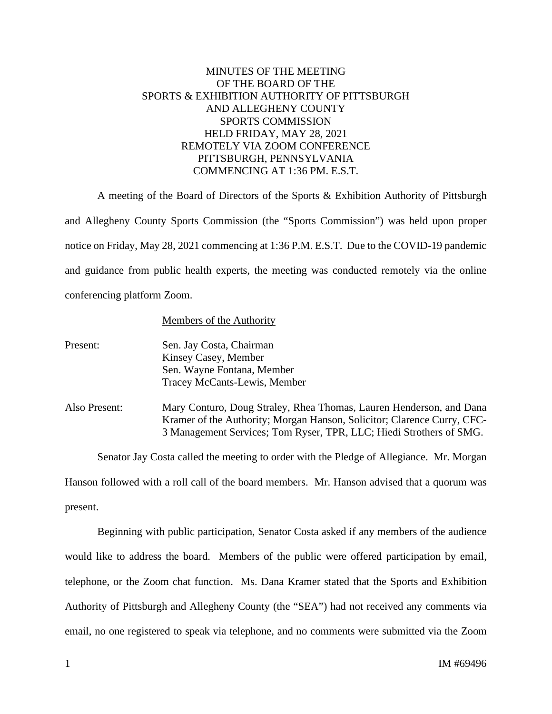## MINUTES OF THE MEETING OF THE BOARD OF THE SPORTS & EXHIBITION AUTHORITY OF PITTSBURGH AND ALLEGHENY COUNTY SPORTS COMMISSION HELD FRIDAY, MAY 28, 2021 REMOTELY VIA ZOOM CONFERENCE PITTSBURGH, PENNSYLVANIA COMMENCING AT 1:36 PM. E.S.T.

A meeting of the Board of Directors of the Sports & Exhibition Authority of Pittsburgh and Allegheny County Sports Commission (the "Sports Commission") was held upon proper notice on Friday, May 28, 2021 commencing at 1:36 P.M. E.S.T. Due to the COVID-19 pandemic and guidance from public health experts, the meeting was conducted remotely via the online conferencing platform Zoom.

## Members of the Authority

| Present: | Sen. Jay Costa, Chairman     |
|----------|------------------------------|
|          | Kinsey Casey, Member         |
|          | Sen. Wayne Fontana, Member   |
|          | Tracey McCants-Lewis, Member |

Also Present: Mary Conturo, Doug Straley, Rhea Thomas, Lauren Henderson, and Dana Kramer of the Authority; Morgan Hanson, Solicitor; Clarence Curry, CFC-3 Management Services; Tom Ryser, TPR, LLC; Hiedi Strothers of SMG.

Senator Jay Costa called the meeting to order with the Pledge of Allegiance. Mr. Morgan Hanson followed with a roll call of the board members. Mr. Hanson advised that a quorum was present.

Beginning with public participation, Senator Costa asked if any members of the audience would like to address the board. Members of the public were offered participation by email, telephone, or the Zoom chat function. Ms. Dana Kramer stated that the Sports and Exhibition Authority of Pittsburgh and Allegheny County (the "SEA") had not received any comments via email, no one registered to speak via telephone, and no comments were submitted via the Zoom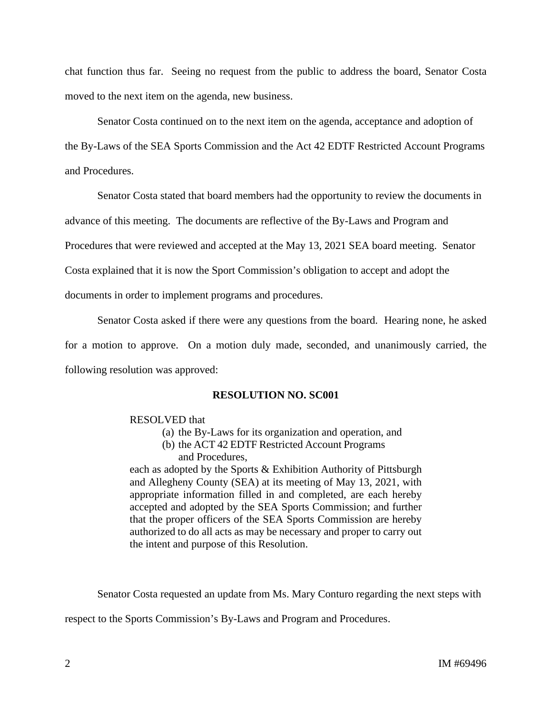chat function thus far. Seeing no request from the public to address the board, Senator Costa moved to the next item on the agenda, new business.

Senator Costa continued on to the next item on the agenda, acceptance and adoption of the By-Laws of the SEA Sports Commission and the Act 42 EDTF Restricted Account Programs and Procedures.

Senator Costa stated that board members had the opportunity to review the documents in

advance of this meeting. The documents are reflective of the By-Laws and Program and

Procedures that were reviewed and accepted at the May 13, 2021 SEA board meeting. Senator

Costa explained that it is now the Sport Commission's obligation to accept and adopt the

documents in order to implement programs and procedures.

Senator Costa asked if there were any questions from the board. Hearing none, he asked

for a motion to approve. On a motion duly made, seconded, and unanimously carried, the following resolution was approved:

## **RESOLUTION NO. SC001**

## RESOLVED that

- (a) the By-Laws for its organization and operation, and
- (b) the ACT 42 EDTF Restricted Account Programs and Procedures,

each as adopted by the Sports & Exhibition Authority of Pittsburgh and Allegheny County (SEA) at its meeting of May 13, 2021, with appropriate information filled in and completed, are each hereby accepted and adopted by the SEA Sports Commission; and further that the proper officers of the SEA Sports Commission are hereby authorized to do all acts as may be necessary and proper to carry out the intent and purpose of this Resolution.

Senator Costa requested an update from Ms. Mary Conturo regarding the next steps with

respect to the Sports Commission's By-Laws and Program and Procedures.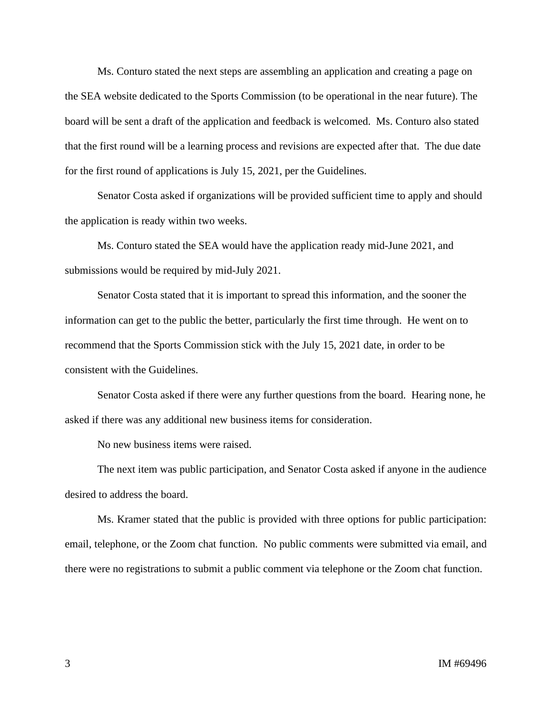Ms. Conturo stated the next steps are assembling an application and creating a page on the SEA website dedicated to the Sports Commission (to be operational in the near future). The board will be sent a draft of the application and feedback is welcomed. Ms. Conturo also stated that the first round will be a learning process and revisions are expected after that. The due date for the first round of applications is July 15, 2021, per the Guidelines.

Senator Costa asked if organizations will be provided sufficient time to apply and should the application is ready within two weeks.

Ms. Conturo stated the SEA would have the application ready mid-June 2021, and submissions would be required by mid-July 2021.

Senator Costa stated that it is important to spread this information, and the sooner the information can get to the public the better, particularly the first time through. He went on to recommend that the Sports Commission stick with the July 15, 2021 date, in order to be consistent with the Guidelines.

Senator Costa asked if there were any further questions from the board. Hearing none, he asked if there was any additional new business items for consideration.

No new business items were raised.

The next item was public participation, and Senator Costa asked if anyone in the audience desired to address the board.

Ms. Kramer stated that the public is provided with three options for public participation: email, telephone, or the Zoom chat function. No public comments were submitted via email, and there were no registrations to submit a public comment via telephone or the Zoom chat function.